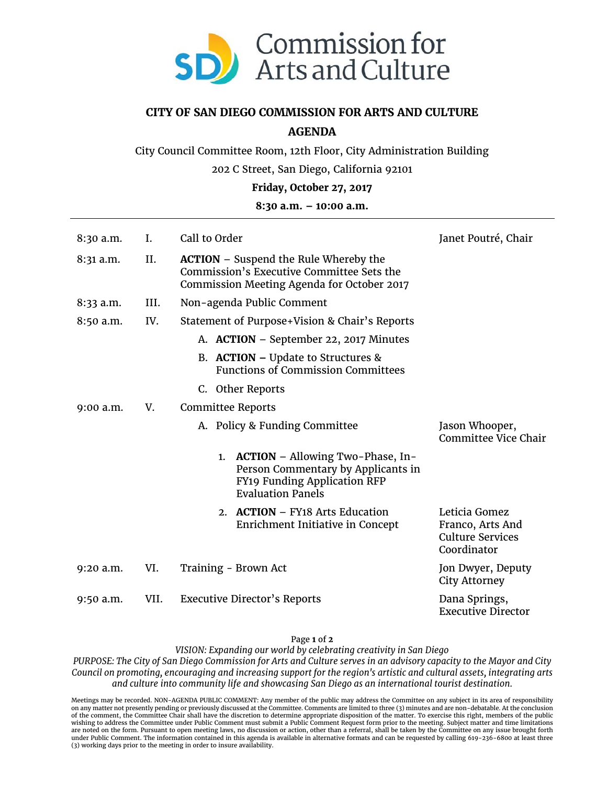

## **CITY OF SAN DIEGO COMMISSION FOR ARTS AND CULTURE**

## **AGENDA**

City Council Committee Room, 12th Floor, City Administration Building

202 C Street, San Diego, California 92101

**Friday, October 27, 2017**

## **8:30 a.m. – 10:00 a.m.**

| 8:30 a.m. | I.   | Call to Order                                                                                                                           | Janet Poutré, Chair                                                         |
|-----------|------|-----------------------------------------------------------------------------------------------------------------------------------------|-----------------------------------------------------------------------------|
| 8:31 a.m. | II.  | <b>ACTION</b> - Suspend the Rule Whereby the<br>Commission's Executive Committee Sets the<br>Commission Meeting Agenda for October 2017 |                                                                             |
| 8:33 a.m. | III. | Non-agenda Public Comment                                                                                                               |                                                                             |
| 8:50 a.m. | IV.  | Statement of Purpose+Vision & Chair's Reports                                                                                           |                                                                             |
|           |      | A. <b>ACTION</b> – September 22, 2017 Minutes                                                                                           |                                                                             |
|           |      | B. ACTION – Update to Structures $\&$<br><b>Functions of Commission Committees</b>                                                      |                                                                             |
|           |      | C. Other Reports                                                                                                                        |                                                                             |
| 9:00 a.m. | V.   | <b>Committee Reports</b>                                                                                                                |                                                                             |
|           |      | A. Policy & Funding Committee                                                                                                           | Jason Whooper,<br>Committee Vice Chair                                      |
|           |      | 1. ACTION - Allowing Two-Phase, In-<br>Person Commentary by Applicants in<br>FY19 Funding Application RFP<br><b>Evaluation Panels</b>   |                                                                             |
|           |      | 2. ACTION – FY18 Arts Education<br>Enrichment Initiative in Concept                                                                     | Leticia Gomez<br>Franco, Arts And<br><b>Culture Services</b><br>Coordinator |
| 9:20 a.m. | VI.  | Training - Brown Act                                                                                                                    | Jon Dwyer, Deputy<br><b>City Attorney</b>                                   |
| 9:50 a.m. | VII. | <b>Executive Director's Reports</b>                                                                                                     | Dana Springs,<br><b>Executive Director</b>                                  |

Page **1** of **2**

*VISION: Expanding our world by celebrating creativity in San Diego*

*PURPOSE: The City of San Diego Commission for Arts and Culture serves in an advisory capacity to the Mayor and City Council on promoting, encouraging and increasing support for the region's artistic and cultural assets, integrating arts and culture into community life and showcasing San Diego as an international tourist destination.*

Meetings may be recorded. NON-AGENDA PUBLIC COMMENT: Any member of the public may address the Committee on any subject in its area of responsibility<br>on any matter not presently pending or previously discussed at the Commit wishing to address the Committee under Public Comment must submit a Public Comment Request form prior to the meeting. Subject matter and time limitations<br>are noted on the form. Pursuant to open meeting laws, no discussion under Public Comment. The information contained in this agenda is available in alternative formats and can be requested by calling 619-236-6800 at least three (3) working days prior to the meeting in order to insure availability.